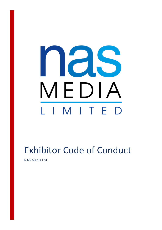# nas MEDIA L I M I T E  $\mathsf{D}$

## Exhibitor Code of Conduct

NAS Media Ltd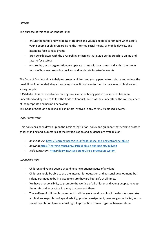#### *Purpose*

The purpose of this code of conduct is to:

- ensure the safety and wellbeing of children and young people is paramount when adults, young people or children are using the internet, social media, or mobile devices, and attending face-to-face events
- provide exhibitors with the overarching principles that guide our approach to online and face-to-face safety
- ensure that, as an organisation, we operate in line with our values and within the law in terms of how we use online devices, and moderate face-to-fae events

The Code of Conduct aims to help us protect children and young people from abuse and reduce the possibility of unfounded allegations being made. It has been formed by the views of children and young people.

NAS Media Ltd is responsible for making sure everyone taking part in our services has seen, understood and agreed to follow the Code of Conduct, and that they understand the consequences of inappropriate and harmful behaviour.

This Code of Conduct applies to all exhibitors involved in any of NAS Media Ltd's events.

#### *Legal Framework*

This policy has been drawn up on the basis of legislation, policy and guidance that seeks to protect children in England. Summaries of the key legislation and guidance are available on:

- *online abuse*[: https://learning.nspcc.org.uk/child-abuse-and-neglect/online-abuse](https://learning.nspcc.org.uk/child-abuse-and-neglect/online-abuse)
- *bullying*[: https://learning.nspcc.org.uk/child-abuse-and-neglect/bullying](https://learning.nspcc.org.uk/child-abuse-and-neglect/bullying)
- *child protection*:<https://learning.nspcc.org.uk/child-protection-system>

#### *We believe that:*

- Children and young people should never experience abuse of any kind.
- Children should be able to use the internet for education and personal development, but safeguards need to be in place to ensure they are kept safe at all times.
- We have a responsibility to promote the welfare of all children and young people, to keep them safe and to practice in a way that protects them.
- The welfare of children is paramount in all the work we do and in all the decisions we take all children, regardless of age, disability, gender reassignment, race, religion or belief, sex, or sexual orientation have an equal right to protection from all types of harm or abuse.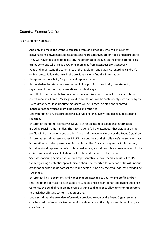### *Exhibitor Responsibilities*

As an exhibitor, you must:

- Appoint, and make the Event Organisers aware of, somebody who will ensure that conversations between attendees and stand representatives are on-topic and appropriate. They will have the ability to delete any inappropriate messages on the online profile. This can be someone who is also answering messages from attendees simultaneously.
- Read and understand the summaries of the legislation and guidance regarding children's online safety. Follow the links in the previous page to find this information.
- Accept full responsibility for your stand representatives.
- Acknowledge that stand representatives hold a position of authority over students, regardless of the stand representative or student's age.
- Note that conversation between stand representatives and event attendees must be kept professional at all times. Messages and conversations will be continuously moderated by the Event Organisers. Inappropriate messages will be flagged, deleted and reported. Inappropriate conversations will be halted and reported.
- Understand that any inappropriate/sexual/violent language will be flagged, deleted and reported.
- Ensure that stand representatives NEVER ask for an attendee's personal information, including social media handles. The information of all the attendees that visit your online profile will be shared with you within 24 hours of the events closure by the Event Organisers.
- Ensure that stand representatives NEVER give out their or their colleague's personal contact information, including personal social media handles. Any company contact information, including stand representative's professional emails, should be visible somewhere within the online profile and available to hand out or share at the face-to-face event.
- See that if a young person finds a stand representative's social media and uses it to DM them regarding a potential opportunity, it should be reported to somebody else within your organisation who should contact the young person using only the email address provided by NAS media.
- Ensure that links, documents and videos that are attached to your online profile and/or referred to on your face-to-face stand are suitable and relevant for an adolescent audience.
- Complete the build of your online profile within deadlines set to allow time for moderators to check that all stand content is appropriate.
- Understand that the attendee information provided to you by the Event Organisers must only be used professionally to communicate about apprenticeships or enrolment into your organisation.